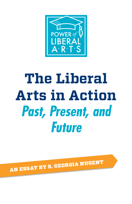

# **The Liberal Arts in Action** *Past, Present, and Future*

AN ESSAY BY S. GEORGIA NUGENT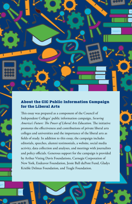#### About the CIC Public Information Campaign for the Liberal Arts

This essay was prepared as a component of the Council of Independent Colleges' public information campaign, *Securing America's Future: The Power of Liberal Arts Education*. The initiative promotes the effectiveness and contributions of private liberal arts colleges and universities and the importance of the liberal arts as fields of study. In addition to this essay, the campaign includes editorials, speeches, alumni testimonials, a website, social media activity, data collection and analyses, and meetings with journalists and policy officials. Generous support for the campaign is provided by Arthur Vining Davis Foundations, Carnegie Corporation of New York, Endeavor Foundation, Jessie Ball duPont Fund, Gladys Krieble Delmas Foundation, and Teagle Foundation.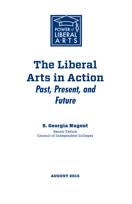

## **The Liberal Arts in Action** *Past, Present, and Future*

#### S. Georgia Nugent

Senior Fellow Council of Independent Colleges

AUGUST 2015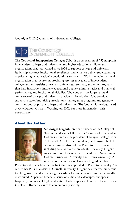Copyright © 2015 Council of Independent Colleges



**The Council of Independent Colleges** (CIC) is an association of 755 nonprofit independent colleges and universities and higher education affiliates and organizations that has worked since 1956 to support college and university leadership, advance institutional excellence, and enhance public understanding of private higher education's contributions to society. CIC is the major national organization that focuses on providing services to leaders of independent colleges and universities as well as conferences, seminars, and other programs that help institutions improve educational quality, administrative and financial performance, and institutional visibility. CIC conducts the largest annual conference of college and university presidents. In addition, CIC provides support to state fundraising associations that organize programs and generate contributions for private colleges and universities. The Council is headquartered at One Dupont Circle in Washington, DC. For more information, visit *www.cic.edu*.

#### About the Author



**S. Georgia Nugent**, interim president of the College of Wooster, and senior fellow at the Council of Independent Colleges, served as the president of Kenyon College from 2003 to 2013. Before her presidency at Kenyon, she held several administrative roles at Princeton University, including assistant to the president. Previously, Nugent was a professor of classics on the faculties of Swarthmore College, Princeton University, and Brown University. A member of the first class of women to graduate from

Princeton, she later became the first alumna appointed to Princeton's faculty. She earned her PhD in classics at Cornell University. Nugent has received numerous teaching awards and was among the earliest lecturers included in the nationally distributed "Superstar Teachers" series of audio and videotapes. She speaks frequently on issues of higher education leadership, as well as the relevance of the Greek and Roman classics to contemporary society.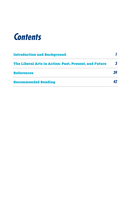

| <b>Introduction and Background</b>                    |    |
|-------------------------------------------------------|----|
| The Liberal Arts in Action: Past, Present, and Future |    |
| <b>References</b>                                     | 39 |
| <b>Recommended Reading</b>                            |    |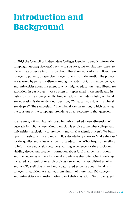#### **Introduction and Background**

In 2013 the Council of Independent Colleges launched a public information campaign, *Securing America's Future: The Power of Liberal Arts Education*, to disseminate accurate information about liberal arts education and liberal arts colleges to parents, prospective college students, and the media. The project was spurred by pervasive dismay among the leaders of CIC member colleges and universities about the extent to which higher education—and liberal arts education, in particular—was so often misrepresented in the media and in public discourse more generally. Emblematic of the under-valuing of liberal arts education is the tendentious question, "What can you do with a liberal arts degree?" The symposium, "The Liberal Arts in Action," which serves as the capstone of the campaign, provides a direct response to that question.

*The Power of Liberal Arts Education* initiative marked a new dimension of outreach for CIC, whose primary mission is service to member colleges and universities (particularly to presidents and chief academic officers). We built upon and substantially expanded CIC's decade-long effort to "make the case" for the quality and value of a liberal arts education. What began as an effort to inform the public also became a learning experience for the association, yielding deeper and broader information about CIC member institutions and the outcomes of the educational experiences they offer. Our knowledge increased as a result of research projects carried out by established scholars and by CIC staff that offered more data-based evidence about liberal arts colleges. In addition, we learned from alumni of more than 100 colleges and universities the transformative role of their education. We also engaged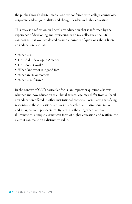the public through digital media, and we conferred with college counselors, corporate leaders, journalists, and thought leaders in higher education.

This essay is a reflection on liberal arts education that is informed by the experience of developing and overseeing, with my colleagues, the CIC campaign. That work coalesced around a number of questions about liberal arts education, such as:

- What is it?
- How did it develop in America?
- How does it work?
- What (and who) is it good for?
- What are its outcomes?
- What is its future?

In the context of CIC's particular focus, an important question also was whether and how education at a liberal arts college may differ from a liberal arts education offered in other institutional contexts. Formulating satisfying responses to those questions requires historical, quantitative, qualitative and imaginative—perspectives. By weaving these together, we may illuminate this uniquely American form of higher education and reaffirm the claim it can make on a distinctive value.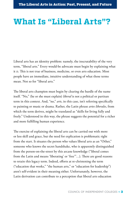#### **What Is "Liberal Arts"?**

Liberal arts has an identity problem: namely, the inscrutability of the very term, "liberal arts." Every would-be advocate must begin by explaining what it *is*. This is not true of business, medicine, or even arts education. Most people have an immediate, intuitive understanding of what those terms mean. Not so for "liberal arts."

The liberal arts champion must begin by clearing the hurdle of the name itself. "No," (he or she must explain) *liberal* is not a political or partisan term in this context. And, "no," *arts*, in this case, isn't referring specifically to painting or music or drama. Rather, the Latin phrase *artes liberales*, from which the term derives, might be translated as "skills for living fully and freely." Understood in this way, the phrase suggests the potential for a richer and more fulfilling human experience.

The exercise of explaining the liberal arts can be carried out with more or less skill and grace, but the need for explication is problematic right from the start. It situates the person who values liberal arts as an "Other," someone who knows the secret handshake, who is apparently distinguished from the person-on-the-street by this arcane knowledge ("liberal comes from the Latin and means 'liberating' or 'free'"…). There are good reasons to retain this legacy term. Indeed, efforts at re-christening the term ("education that works," "the human arts," or "education for leadership") aren't self-evident in their meaning either. Unfortunately, however, the Latin derivation can contribute to a perception that liberal arts education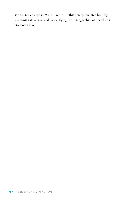is an elitist enterprise. We will return to this perception later, both by examining its origins and by clarifying the demographics of liberal arts students today.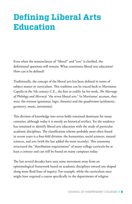#### **Defining Liberal Arts Education**

Even when the nomenclature of "liberal" and "arts" is clarified, the definitional questions still remain: What constitutes liberal arts education? How can it be defined?

Traditionally, the concept of the liberal arts has been defined in terms of subject matter or curriculum. This tradition can be traced back to Martianus Capella in the 5th century C.E., the first to codify (in his work, *The Marriage of Philology and Mercury*) "the seven liberal arts." In Martianus' account, they were: the *trivium* (grammar, logic, rhetoric) and the *quadrivium* (arithmetic, geometry, music, astronomy).

This division of knowledge into seven fields remained dominant for many centuries, although today it is merely an historical artifact. Yet the tendency has remained to identify liberal arts education with the study of particular academic disciplines. The classification scheme probably most often found in recent years is a four-fold division: the humanities, social sciences, natural sciences, and arts (with the last added the most recently). This taxonomy structured the "distribution requirements" of many college curricula for at least a century and can still be found on many campuses today.

The last several decades have seen some movement away from an epistemological framework based on academic disciplines toward one shaped along more fluid lines of inquiry. For example, while the curriculum once might have required a course specifically in the departments of religion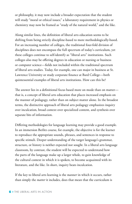or philosophy, it may now include a broader expectation that the student will study "moral or ethical issues;" a laboratory requirement in physics or chemistry may now be framed as "study of the natural world," and the like.

Along similar lines, the definition of liberal arts education seems to be shifting from being strictly discipline-based to more methodologically-based. For an increasing number of colleges, the traditional four-fold division of disciplines does not encompass the full spectrum of today's curriculum, yet these colleges continue to self-identify as "liberal arts" institutions. Such colleges also may be offering degrees in education or nursing or business or computer science—fields not included within the traditional spectrum of liberal arts studies. Today, for example, one can major in business at St. Lawrence University or study corporate finance at Bard College—both quintessential examples of liberal arts institutions. How can this be?

The answer lies in a definitional focus based more on mode than on matter that is, a concept of liberal arts education that places increased emphasis on the manner of pedagogy, rather than on subject matter alone. In the broadest terms, the distinctive approach of liberal arts pedagogy emphasizes inquiry over inculcation, broad context over specialized content, and synthesis over separate bits of information.

Differing methodologies for language learning may provide a good example. In an immersion Berlitz course, for example, the objective is for the learner to reproduce the appropriate sounds, phrases, and sentences in response to specific stimuli. Deeper understanding of the target language's grammar, structure, or history is neither expected nor sought. In a liberal arts language classroom, by contrast, the student will be expected to understand how the parts of the language make up a larger whole, to gain knowledge of the cultural context in which it is spoken, to become acquainted with its literature, and the like. In short, inquiry beats inculcation.

If the key to liberal arts learning is the *manner* in which it occurs, rather than simply the *matter* it includes, does that mean that the curriculum is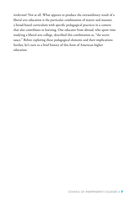irrelevant? Not at all. What appears to produce the extraordinary result of a liberal arts education is the particular combination of matter and manner, a broad-based curriculum with specific pedagogical practices in a context that also contributes to learning. One educator from abroad, who spent time studying a liberal arts college, described this combination as, "the secret sauce." Before exploring these pedagogical elements and their implications further, let's turn to a brief history of this form of American higher education.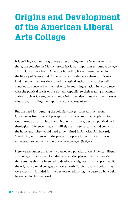### **Origins and Development of the American Liberal Arts College**

It is striking that, only eight years after arriving on the North American shore, the colonists in Massachusetts felt it was important to found a college. Thus, Harvard was born. America's Founding Fathers were steeped in the history of Greece and Rome, and they carried with them to this new land many of the ideas they found in classical authors. Just as they selfconsciously conceived of themselves to be founding a nation in accordance with the political ideals of the Roman Republic, so their reading of Roman authors such as Cicero, Seneca, and Quintilian also influenced their ideas of education, including the importance of the *artes liberales*.

But the need for founding the colonial colleges came as much from Christian as from classical precepts. In this new land, the people of God would need pastors to lead them. Not only distance, but also political and theological differences made it unlikely that those pastors would come from the homeland. They would need to be trained in America. At Harvard, "Producing ministers with the proper interpretation of Puritanism was understood to be the mission of the new college" (Geiger).

Here we encounter a frequently overlooked paradox of the American liberal arts college. It was surely founded on the principles of the *artes liberales*, those studies that are intended to develop the highest human capacities. But the original colonial colleges also were clearly "professional schools." They were explicitly founded for the purpose of educating the pastors who would be needed in this new world.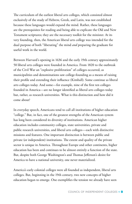The curriculum of the earliest liberal arts colleges, which consisted almost exclusively of the study of Hebrew, Greek, and Latin, was not established because these languages would expand the mind. Rather, these languages are the prerequisites for reading and being able to explicate the Old and New Testament scriptures; they are the necessary toolkit for the minister. At its very founding, then, the American liberal arts college was intended for the dual purpose of both "liberating" the mind *and* preparing the graduate for useful work in the world.

Between Harvard's opening in 1636 and the early 19th century approximately 50 liberal arts colleges were founded in America. From 1820 to the outbreak of the Civil War an "explosive proliferation" of colleges occurred, as municipalities and denominations saw college-founding as a means of raising their profile and extending their influence (Kimball). Some continue as liberal arts colleges today. And some—for example, nine of the first ten colleges founded in America—are no longer identified as liberal arts colleges today but, rather, as research universities. What is this distinction and how did it come about?

In everyday speech, Americans tend to call all institutions of higher education "college." But, in fact, one of the greatest strengths of the American system has long been considered its diversity of institutions. American higher education includes community colleges, state universities, private and public research universities, and liberal arts colleges—each with distinctive missions and features. One important distinction is between public and private (or independent) institutions. The extent and quality of the private sector is unique in America. Throughout Europe and other continents, higher education has been and continues to be almost entirely a function of the state. But, despite both George Washington's and Thomas Jefferson's desire for America to have a national university, one never materialized.

America's early colonial colleges were all founded as independent, liberal arts colleges. But, beginning in the 19th century, two new concepts of higher education began to emerge. One exemplifies the tension we already have seen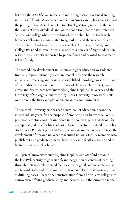between the *artes liberales* model and more pragmatically-oriented training in the "useful" arts. A watershed moment in American higher education was the passing of the Morrill Act of 1862. This legislation granted to the states thousands of acres of federal land, on the condition that the state establish "at least one college where the leading objective shall be…to teach such branches of learning as are related to agriculture and the mechanical arts." The resultant "land grant" universities (such as University of Maryland, College Park and Purdue University) opened a new era of higher education, with universities both supported by public funds and devoted to pragmatic fields of study.

The second new development in American higher education was adopted from a European, primarily German, model. This was the research university. Preserving and passing on established knowledge was the purview of the traditional college; but the purpose of the research university was to create and disseminate new knowledge. Johns Hopkins University and the University of Chicago (along with tiny Clark University in Massachusetts) were among the first examples of American research universities.

The research university emphasized a new level of education, beyond the undergraduate years, for the purpose of producing new knowledge. While post-graduate study was not unknown in the colleges (James Madison, for example, stayed on after his graduation from Princeton to extend his Biblical studies with President James McCosh), it was an anomalous occurrence. The development of research universities required not only faculty members who publish but also graduate students, both to assist in faculty research and to be trained as research scholars.

As "upstart" universities such as Johns Hopkins and Stanford began in the late 19th century to gain significant recognition as centers of learning through their research-oriented faculties, the original colonial colleges such as Harvard, Yale, and Princeton had to take note. Each in its own way—and at differing paces—began the transformation from a liberal arts college into a university, offering graduate study and degrees, as in the European model.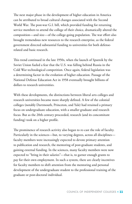The next major phase in the development of higher education in America can be attributed to broad cultural changes associated with the Second World War. The post-war G.I. bill, which provided funding for returning service members to attend the college of their choice, dramatically altered the composition—and size—of the college-going population. The war effort also brought tremendous new resources to the research enterprise, as the federal government directed substantial funding to universities for both defenserelated and basic research.

This trend continued in the late 1950s, when the launch of Sputnik by the Soviet Union fueled a fear that the U.S. was falling behind Russia in the Cold War technological competition. Once again, federal legislation was a determining factor in the evolution of higher education. Passage of the National Defense Education Act in 1958 eventually brought billions of dollars to research universities.

With these developments, the distinctions between liberal arts colleges and research universities became more sharply defined. A few of the colonial colleges (notably Dartmouth, Princeton, and Yale) had retained a primary focus on undergraduate education, with a smaller graduate and research focus. But as the 20th century proceeded, research (and its concomitant funding) took on a higher profile.

The prominence of research activity also began to re-cast the role of faculty. Particularly in the sciences—but, to varying degrees, across all disciplines faculty members were increasingly expected to devote primary attention to publication and research, the mentoring of post-graduate students, and gaining external funding. In the sciences, many faculty members were now expected to "bring in their salaries"—that is, to garner enough grants to pay for their own employment. In such a system, there are clearly incentives for faculty members to shift attention from the mentoring and personal development of the undergraduate student to the professional training of the graduate or post-doctoral individual.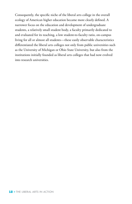Consequently, the specific niche of the liberal arts college in the overall ecology of American higher education became more clearly defined. A narrower focus on the education and development of undergraduate students, a relatively small student body, a faculty primarily dedicated to and evaluated for its teaching, a low student-to-faculty ratio, on-campus living for all or almost all students—these easily observable characteristics differentiated the liberal arts colleges not only from public universities such as the University of Michigan or Ohio State University, but also from the institutions initially founded as liberal arts colleges that had now evolved into research universities.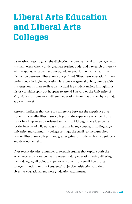### **Liberal Arts Education and Liberal Arts Colleges**

It's relatively easy to grasp the distinction between a liberal arts college, with its small, often wholly undergraduate student body, and a research university, with its graduate student and post-graduate population. But what is the distinction between "liberal arts colleges" and "liberal arts education"? Even professionals in higher education, let alone the general public, wrestle with this question. Is there really a distinction? If a student majors in English or history or philosophy but happens to attend Harvard or the University of Virginia is that somehow a different education from that of the physics major at Swarthmore?

Research indicates that there is a difference between the experience of a student at a smaller liberal arts college and the experience of a liberal arts major in a large research-oriented university. Although there is evidence for the benefits of a liberal arts curriculum in any context, including large university and community college settings, the small- to medium-sized, private, liberal arts colleges show greater gains for students, both cognitively and developmentally.

Over recent decades, a number of research studies that explore both the experience and the outcomes of post-secondary education, using differing methodologies, all point to superior outcomes from small liberal arts colleges—both in terms of students' subjective satisfaction and their objective educational and post-graduation attainment.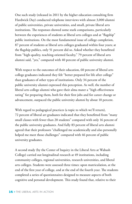One such study (released in 2011 by the higher education consulting firm Hardwick Day) conducted telephone interviews with almost 3,000 alumni of public universities, private universities, and small, private liberal arts institutions. The responses showed some stark comparisons, particularly between the experiences of students at liberal arts colleges and at "flagship" public institutions. On the most fundamental issue of college completion, 87 percent of students at liberal arts colleges graduated within four years; at the flagship publics, only 51 percent did so. Asked whether they benefitted from "high-quality, teaching-oriented faculty," 79 percent of liberal arts alumni said, "yes," compared with 40 percent of public university alumni.

With respect to the outcomes of their education, 60 percent of liberal arts college graduates indicated they felt "better prepared for life after college" than graduates of other types of institutions. Only 34 percent of the public university alumni expressed this perception. As well, the number of liberal arts college alumni who gave their alma mater a "high effectiveness rating" for preparing them, both for their first jobs and for career change or advancement, outpaced the public university alumni by about 10 percent.

With regard to pedagogical practices (a topic to which we'll return), 72 percent of liberal art graduates indicated that they benefitted from "many small classes with fewer than 20 students" compared with only 16 percent of the public university graduates. And fully 83 percent of liberal arts alumni agreed that their professors "challenged me academically and also personally helped me meet those challenges" compared with 46 percent of public university graduates.

A second study (by the Center of Inquiry in the Liberal Arts at Wabash College) carried out longitudinal research at 49 institutions, including community colleges, regional universities, research universities, and liberal arts colleges. Students were assessed three times: upon matriculation, at the end of the first year of college, and at the end of the fourth year. The students completed a series of questionnaires designed to measure aspects of both cognitive and personal development. This study found that, relative to their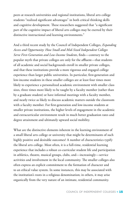peers at research universities and regional institutions, liberal arts college students "realized significant advantages" in both critical thinking skills and cognitive development. These researchers suggested that "a significant part of the cognitive impact of liberal arts colleges may be exerted by their distinctive instructional and learning environments."

And a third recent study by the Council of Independent Colleges, *Expanding Access and Opportunity: How Small and Mid-Sized Independent Colleges Serve First-Generation and Low-Income Students*, finds—contrary to the popular myth that private colleges are only for the affluent—that students of all academic and social backgrounds enroll in smaller private colleges, and that these institutions provide a more rigorous and engaged college experience than larger public universities. In particular, first-generation and low-income students in these smaller colleges are at least four times more likely to experience a personalized academic environment with smaller class sizes, three times more likely to be taught by a faculty member (rather than by a graduate student) or have informal meetings with a faculty member, and nearly twice as likely to discuss academic matters outside the classroom with a faculty member. For first-generation and low-income students at smaller private institutions, the higher levels of engagement in the academic and extracurricular environment result in much better graduation rates and degree attainment and ultimately upward social mobility.

What are the distinctive elements inherent in the learning environment of a small liberal arts college or university that might be determinants of such highly positive and desirable outcomes? A number of characteristics typify the liberal arts college. Most often, it is a full-time, residential learning experience that includes a robust co-curricular student life and participation in athletics, theatre, musical groups, clubs, and—increasingly—service activities and involvement in the local community. The smaller colleges also often express an explicit commitment to the formation of character and to an ethical value system. In some instances, this may be associated with the institution's roots in a religious denomination; in others, it may arise organically from the very nature of an intimate, residential community.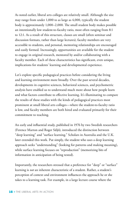As noted earlier, liberal arts colleges are relatively small. Although the size may range from under 1,000 to as large as 4,000, typically the student body is approximately 1,000–2,000. The small student body makes possible an intentionally low student-to-faculty ratio, most often ranging from 8:1 to 12:1. As a result of this structure, classes are small (often seminar and discussion formats, rather than large lectures), faculty members are very accessible to students, and personal, mentoring relationships are encouraged and easily formed. Increasingly, opportunities are available for the student to engage in original research, mentored by and/or collaborating with a faculty member. Each of these characteristics has significant, even unique, implications for students' learning and developmental experience.

Let's explore specific pedagogical practices before considering the living and learning environment more broadly. Over the past several decades, developments in cognitive sciences, behavioral sciences, and psychometric analysis have enabled us to understand much more about how people learn and what factors contribute to effective learning. It's illuminating to compare the results of these studies with the kinds of pedagogical practices most prominent at small liberal arts colleges—where the student-to-faculty ratio is low, and faculty members are both hired and evaluated primarily for their commitment to teaching.

An early and influential study, published in 1976 by two Swedish researchers (Ference Marton and Roger Säljö), introduced the distinction between "deep learning" and "surface learning." Scholars in Australia and the U.K. later extended this work. Put simply, the student who uses a deep learning approach seeks "understanding" (looking for patterns and making meaning), while surface learning focuses on "reproduction" (memorizing bits of information in anticipation of being tested).

Importantly, the researchers stressed that a preference for "deep" or "surface" learning is *not* an inherent characteristic of a student. Rather, a student's perception of context and environment influences the approach he or she takes to a learning task. For example, in a large lecture course where the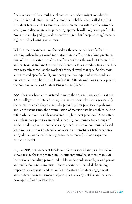final exercise will be a multiple choice test, a student might well decide that the "reproduction" or surface mode is probably what's called for. But if student-faculty and student-to-student interaction will take the form of a small group discussion, a deep learning approach will likely seem preferable. Not surprisingly, pedagogical researchers agree that "deep learning" leads to higher quality learning outcomes.

While some researchers have focused on the characteristics of effective learning, others have turned more attention to effective teaching practices. One of the most extensive of these efforts has been the work of George Kuh and his team at Indiana University's Center for Postsecondary Research. His own research, as well as the work of others, showed that specific classroom activities and specific faculty and peer practices improved undergraduate outcomes. On this basis, Kuh launched in 2000 an ambitious survey project, the National Survey of Student Engagement (NSSE).

NSSE has now been administered to more than 4.5 million students at over 1,500 colleges. The detailed survey instrument has helped colleges identify the extent to which they are actually providing best practices in pedagogy and, at the same time, the accumulation of massive data has enabled Kuh to refine what are now widely considered "high-impact practices." Most often, six high-impact practices are cited: a learning community (i.e., groups of students taking two or more classes together), service or community-based learning, research with a faculty member, an internship or field experience, study abroad, and a culminating senior experience (such as a capstone course or thesis).

In June 2015, researchers at NSSE completed a special analysis for CIC of survey results for more than 540,000 students enrolled at more than 900 institutions, including private and public undergraduate colleges and private and public doctoral universities. Factors examined included the six highimpact practices just listed, as well as indicators of student engagement and students' own assessments of gains (in knowledge, skills, and personal development) and satisfaction.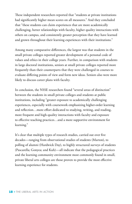These independent researchers reported that "students at private institutions had significantly higher mean scores on all measures." And they concluded that "these students can claim experiences that are more academically challenging, better relationships with faculty, higher quality interactions with others on campus, and consistently greater perception that they have learned and grown throughout their learning experiences with their institutions."

Among many comparative differences, the largest was that students in the small private colleges reported greater development of a personal code of values and ethics in their college years. Further, in comparison with students in large doctoral institutions, seniors at small private colleges reported more frequently than their counterparts that they were challenged in courses to evaluate differing points of view and form new ideas. Seniors also were more likely to discuss career plans with faculty.

In conclusion, the NSSE researchers found "several areas of distinction" between the students in small private colleges and students at public institutions, including "greater exposure to academically challenging experiences, especially with coursework emphasizing higher-order learning and reflection…more effort dedicated to studying, writing, and reading, more frequent and high-quality interactions with faculty and exposure to effective teaching practices…and a more supportive environment for learning."

It's clear that multiple types of research studies, carried out over five decades—ranging from observational studies of students (Marton), to polling of alumni (Hardwick Day), to highly structured surveys of students (Pascarella; Gonyea; and Kuh)—all indicate that the pedagogical practices and the learning community environment most commonly found in small, private liberal arts colleges are those proven to provide the most effective learning experience for students.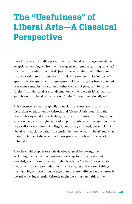### **The "Usefulness" of Liberal Arts—A Classical Perspective**

Even if the research indicates that the small liberal arts college provides an exceptional learning environment, the questions remain: learning for what? Is a liberal arts education useful? Just as the very definition of liberal arts is controversial, so is its purpose—in today's favored term, its "outcome." Specifically, the usefulness (or uselessness) of liberal arts has been contested over many centuries. To add yet another element of paradox—for some, "useless" is understood as a condemnation, while to others it's actually an approbation. Is liberal arts education "useless"—even intentionally so?

This controversy stems originally from classical times, specifically from discussions of education by Aristotle and Cicero. A brief foray into that classical background is worthwhile, because it still informs thinking about education, especially higher education, particularly when the question of the practicality or usefulness of college looms so large. Indeed, one scholar of liberal arts has claimed that "the tension between what is 'liberal' and what is 'useful' is one of the oldest and most persistent problems in education" (Kimball).

The Greek philosopher Aristotle developed an elaborate argument, explaining the distinction between knowledge for its own sake and knowledge as a means to an end—that is, what is "useful." For Aristotle, the former—a desire to understand the true causes and nature of things is a much higher form of knowledge than the latter, directed more narrowly toward achieving a result. Aristotle might have illustrated this as the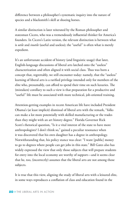difference between a philosopher's systematic inquiry into the nature of species and a blacksmith's skill at shoeing horses.

A similar distinction is later reiterated by the Roman philosopher and statesman Cicero, who was a tremendously influential thinker for America's founders. In Cicero's Latin version, the relevant distinction is between what is *utile* and *inutile* (useful and useless); the "useful" is often what is merely expedient.

It's an unfortunate accident of history (and linguistic usage) that later, English-language discussions of liberal arts latched onto the "useless" characterization and often aligned it with social class. Thus was born a concept that, regrettably, we still encounter today: namely, that the "useless" learning of liberal arts is a rarified privilege intended only for members of the elite who, presumably, can afford to spend their time on such luxuries. The (mistaken) corollary to such a view is that preparation for a productive and "useful" life must be associated with more technical, job-oriented training.

Attention-getting examples in recent American life have included President Obama's (at least implicit) dismissal of liberal arts with the remark, "folks can make a lot more potentially with skilled manufacturing or the trades than they might with an art history degree." Florida Governor Rick Scott's rhetorical question, "Is it a vital interest of the state to have more anthropologists? I don't think so," gained a peculiar resonance when it was discovered that his own daughter has a degree in anthropology. Notwithstanding that, his policy stance was clear: "I want [public] money to go to degrees where people can get jobs in this state." Bill Gates also has widely expressed the view that only those subjects that will prepare students for entry into the local economy are worthy of support—and it seems clear that he, too, (incorrectly) assumes that the liberal arts are not among those subjects.

It is true that this view, aligning the study of liberal arts with a leisured elite, in some ways reproduces a conflation of class and education found in the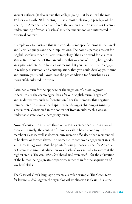ancient authors. (It also is true that college-going—at least until the mid-19th or even early-20th) century—was almost exclusively a privilege of the wealthy in America, which reinforces the notion.) But Aristotle's or Cicero's understanding of what is "useless" must be understood and interpreted in historical context.

A simple way to illustrate this is to consider some specific terms in the Greek and Latin languages and their implications. The point is perhaps easiest for English speakers to see in Latin terminology. The Latin word for leisure is *otium*. In the context of Roman culture, this was one of the highest goods, an aspirational state. To have *otium* meant that you had the time to engage in reading, discussion, and contemplation, that you could develop your mind and nurture your soul. *Otium* was the pre-condition for flourishing as a thoughtful, cultured individual.

Latin had a term for the opposite or the negation of *otium*: *negotium*. Indeed, this is the etymological basis for our English term, "negotiate" and its derivatives, such as "negotiation." For the Romans, this negative term denoted "business," perhaps merchandising or shipping or running a restaurant. Considered in the context of Roman culture, this was an undesirable state, even a derogatory term.

Now, of course, we must see these valuations as embedded within a social context—namely, the context of Rome as a slave-based economy. The merchant class (as well as doctors, bureaucratic officials, or bankers) tended to be slaves or former slaves. The Roman elite eschewed engagement in such activities, in *negotium*. But the point, for our purposes, is that for Aristotle or Cicero to claim that education was "useless" was actually to accord it the highest status. The *artes liberales* (liberal arts) were useful for the cultivation of the human being's greatest capacities, rather than for the acquisition of low-level skills.

The Classical Greek language presents a similar example. The Greek term for leisure is *skole*. Again, the etymological implication is clear: This is the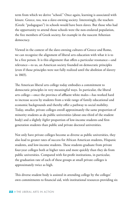term from which we derive "school." Once again, learning is associated with leisure. Greece, too, was a slave-owning society. Interestingly, the teachers (Greek: "pedagogues") in schools would have been slaves. But those who had the opportunity to attend those schools were the non-enslaved population, the free members of Greek society, for example in the nascent Athenian democracy.

Viewed in the context of the slave-owning cultures of Greece and Rome, we can recognize the alignment of liberal arts education with what it is to be a free person. It is this alignment that offers a particular resonance—and relevance—to us, an American society founded on democratic principles (even if those principles were not fully realized until the abolition of slavery in 1865).

The American liberal arts college today embodies a commitment to democratic principles in very meaningful ways. In particular, the liberal arts college—once the province of affluent white males—has worked hard to increase access by students from a wide range of family educational and economic backgrounds and thereby offer a pathway to social mobility. Today, smaller, private colleges enroll approximately the same proportion of minority students as do public universities (about one-third of the student body) and a slightly *higher* proportion of low-income students and firstgeneration students than public and private doctoral universities.

Not only have private colleges become as diverse as public universities, they also lead to greater rates of success for African American students, Hispanic students, and low-income students. These students graduate from private four-year colleges both at higher rates and more quickly than they do from public universities. Compared with for-profit institutions, in particular, the graduation rate of each of these groups at small private colleges is approximately twice as high.

This diverse student body is assisted in attending college by the colleges' own commitments to financial aid, with institutional resources providing six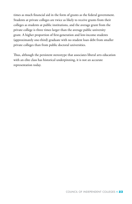times as much financial aid in the form of grants as the federal government. Students at private colleges are twice as likely to receive grants from their colleges as students at public institutions, and the average grant from the private college is three times larger than the average public university grant. A higher proportion of first-generation and low-income students (approximately one-third) graduate with no student loan debt from smaller private colleges than from public doctoral universities.

Thus, although the persistent stereotype that associates liberal arts education with an elite class has historical underpinning, it is not an accurate representation today.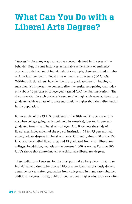#### **What Can You Do with a Liberal Arts Degree?**

"Success" is, in many ways, an elusive concept, defined in the eyes of the beholder. But, in some instances, remarkable achievement or eminence accrues to a defined set of individuals. For example, there are a fixed number of American presidents, Nobel Prize winners, and Fortune 500 CEOs. Within such closed sets, how do liberal arts graduates fare? In looking at such data, it's important to contextualize the results, recognizing that today, only about 13 percent of college-goers attend CIC member institutions. The data show that, in each of these "closed sets" of high achievement, liberal arts graduates achieve a rate of success substantially higher than their distribution in the population.

For example, of the 19 U.S. presidents in the 20th and 21st centuries (the era when college-going really took hold in America), four (or 21 percent) graduated from small liberal arts colleges. And if we note the study of liberal arts, independent of the type of institution, 14 (or 73 percent) had undergraduate degrees in liberal arts fields. Currently, almost 90 of the 100 U.S. senators studied liberal arts, and 18 graduated from small liberal arts colleges. In addition, analysis of the Fortune 1,000 as well as Fortune 500 CEOs shows that approximately one-third have liberal arts degrees.

These indicators of success, for the most part, take a long view—that is, an individual who rises to become a CEO or a president has obviously done so a number of years after graduation from college and in many cases obtained additional degrees. Today, public discourse about higher education very often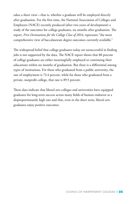takes a short view—that is, whether a graduate will be employed directly after graduation. For the first time, the National Association of Colleges and Employers (NACE) recently produced (after two years of development) a study of the outcomes for college graduates, six months after graduation. The report, *First Destinations for the College Class of 2014*, represents "the most comprehensive view of baccalaureate degree outcomes currently available."

The widespread belief that college graduates today are unsuccessful in finding jobs is not supported by the data. The NACE report shows that 80 percent of college graduates are either meaningfully employed or continuing their educations within six months of graduation. But there is a differential among types of institutions. For those who graduated from a public university, the rate of employment is 73.4 percent, while for those who graduated from a private, nonprofit college, that rate is 89.5 percent.

These data indicate that liberal arts colleges and universities have equipped graduates for long-term success across many fields of human endeavor at a disproportionately high rate and that, even in the short term, liberal arts graduates enjoy positive outcomes.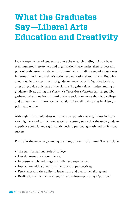### **What the Graduates Say—Liberal Arts Education and Creativity**

Do the experiences of students support the research findings? As we have seen, numerous researchers and organizations have undertaken surveys and polls of both current students and alumni, which indicate superior outcomes in terms of both personal satisfaction and educational attainment. But what about qualitative assessments of graduates' experiences? Quantitative data, after all, provide only part of the picture. To gain a richer understanding of graduates' lives, during the *Power of Liberal Arts Education* campaign, CIC gathered reflections from alumni of the association's more than 600 colleges and universities. In short, we invited alumni to tell their stories in videos, in print, and online.

Although this material does not have a comparative aspect, it does indicate very high levels of satisfaction, as well as a strong sense that the undergraduate experience contributed significantly both to personal growth and professional success.

Particular themes emerge among the many accounts of alumni. These include:

- The transformational role of college;
- Development of self-confidence;
- Exposure to a broad range of studies and experiences;
- Interaction with a diversity of persons and perspectives;
- Persistence and the ability to learn from and overcome failure; and
- Realization of distinctive strengths and values—pursuing a "passion."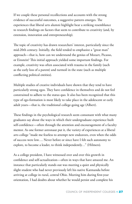If we couple these personal recollections and accounts with the strong evidence of successful outcomes, a suggestive pattern emerges. The experiences that liberal arts alumni highlight bear a striking resemblance to research findings on factors that seem to contribute to creativity (and, by extension, innovation and entrepreneurship).

The topic of creativity has drawn researchers' interest, particularly since the mid-20th century. Initially, the field tended to emphasize a "great man" approach—that is, how can we understand the genius of Mozart, Picasso, or Einstein? This initial approach yielded some important findings. For example, creativity was often associated with trauma in the family (such as the early loss of a parent) and turmoil in the state (such as multiple conflicting political entities).

Multiple studies of creative individuals have shown that they tend to have particularly strong egos. They have confidence in themselves and do not feel constrained to adhere to the status quo. It also has been recognized that this type of ego-formation is most likely to take place in the adolescent or early adult years—that is, the traditional college-going age (Albert).

These findings in the psychological research seem consonant with what many graduates say about the ways in which their undergraduate experience built self-confidence—often through the attention and encouragement of a faculty mentor. As one former astronaut put it, the variety of experiences at a liberal arts college "made me fearless to attempt new endeavors, even when the odds of success were low…. Never before or since have I felt such autonomy to explore, to become a leader, to think independently…" (Hilmers).

As a college president, I have witnessed over and over this growth in confidence and self-actualization—often in ways that have amazed me. An instance that particularly stands out was meeting a quiet and physically slight student who had never previously left his native Katmandu before arriving at college in rural, central Ohio. Meeting him during first-year orientation, I had doubts about whether he would persist and complete his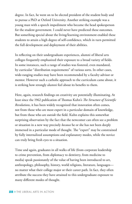degree. In fact, he went on to be elected president of the student body and to pursue a PhD at Oxford University. Another striking example was a young man with a speech impediment who became the head spokesperson for the student government. I could never have predicted these outcomes. But something special about the living/learning environment enabled these students to attain a high degree of self-confidence, which in turn permitted the full development and deployment of their abilities.

In reflecting on their undergraduate experiences, alumni of liberal arts colleges frequently emphasized their exposure to a broad variety of fields. In some instances, such a range of studies was fostered, even mandated, by curricular "distribution requirements" of various sorts. In other cases, wide-ranging studies may have been recommended by a faculty advisor or mentor. However such a catholic approach to the curriculum came about, it is striking how strongly alumni feel about its benefits to them.

Here, again, research findings on creativity are potentially illuminating. At least since the 1962 publication of Thomas Kuhn's *The Structure of Scientific Revolutions*, it has been widely recognized that innovation often comes, not from those who are most expert in a particular domain of knowledge, but from those who are *outside* the field. Kuhn explains this somewhat surprising observation by the fact that the newcomer can often see a problem or situation in a new way precisely *because* he or she has not been deeply immersed in a particular mode of thought. The "expert" may be constrained by fully internalized assumptions and explanatory modes, while the novice can truly bring fresh eyes to a situation.

Time and again, graduates in all walks of life (from corporate leadership to crime prevention, from diplomacy to dentistry, from medicine to media) speak passionately of the value of having been introduced to art, anthropology, philosophy, history, world religions, literature, languages no matter what their college major or their career path. In fact, they often attribute the success they have attained to this undergraduate exposure to many different modes of thought.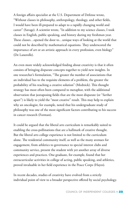A foreign affairs specialist at the U.S. Department of Defense wrote, "Without classes in philosophy, anthropology, theology, and other fields, I would have been ill-prepared to adapt to a rapidly changing world and career" (Savage). A scientist wrote, "In addition to my science classes, I took classes in English, public speaking, and history during my freshman year. These classes…opened the door to…unique ways of looking at the world that could not be described by mathematical equations. They underscored the importance of art or an artistic approach in every profession, even biology" (De Lanerolle).

An even more widely acknowledged finding about creativity is that it often consists of bringing disparate concepts together to yield new insights. In one researcher's formulation, "The greater the number of associations that an individual has to the requisite elements of a problem, the greater the probability of his reaching a creative solution" (Mednick). This thought strategy has most often been compared to metaphor, with the additional observation that juxtaposing fields that are the most disparate (or "farther apart") is likely to yield the "most creative" result. This may help to explain why an oncologist, for example, noted that his undergraduate study of philosophy was one of the most significant factors contributing to his success in cancer research (Forman).

It could be argued that the liberal arts curriculum is remarkably suited to enabling the cross-pollinations that are a hallmark of creative thought. But the liberal arts college experience is not limited to the curriculum alone. The residential community itself, as well as the many avenues for engagement, from athletics to governance to special interest clubs and community service, present the student with yet another array of diverse experiences and practices. One graduate, for example, found that her extracurricular activities in college of acting, public speaking, and athletics, proved invaluable in her field experience in the Peace Corps (Hayes).

In recent decades, studies of creativity have evolved from a strictly individual point of view to a broader perspective offered by social psychology.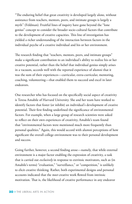"The enduring belief that great creativity is developed largely alone, without assistance from teachers, mentors, peers, and intimate groups is largely a myth" (Feldman). Fruitful lines of inquiry have gone beyond the "lone genius" concept to consider the broader socio-cultural factors that contribute to the development of creative capacities. This line of investigation has yielded a richer understanding of the interaction between factors in the individual psyche of a creative individual and his or her environment.

The research finding that "teachers, mentors, peers, and intimate groups" make a significant contribution to an individual's ability to realize his or her creative potential, rather than the belief that individual genius simply arises in a vacuum, accords well with the reported experience of alumni that it was the sum of their experiences—curricular, extra-curricular, mentoring, coaching, volunteering—that enabled them to succeed and excel in later endeavors.

One researcher who has focused on the specifically social aspect of creativity is Teresa Amabile of Harvard University. She and her team have worked to identify factors that foster (or inhibit) an individual's development of creative potential. Their first finding underlined the significance of environmental factors. For example, when a large group of research scientists were asked to reflect on their own experiences of creativity, Amabile's team found that "environmental factors were mentioned much more frequently than personal qualities." Again, this would accord with alumni perceptions of how significant the overall college environment was to their personal development and success.

Going further, however, a second finding arose—namely, that while external environment is a major factor enabling the expression of creativity, a task that is carried out *exclusively* in response to extrinsic motivators, such as (in Amabile's terms) "evaluation," "surveillance," or "competition," is unlikely to elicit creative thinking. Rather, both experimental designs and personal accounts indicated that the *most* creative work flowed from intrinsic motivation. That is, the likelihood of creative performance in any endeavor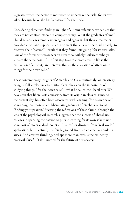is greatest when the person is motivated to undertake the task "for its own sake," because he or she has "a passion" for the work.

Considering these two findings in light of alumni reflections we can see that they are not contradictory, but complementary. What the graduates of small liberal arts colleges remark upon again and again is that their alma mater provided a rich and supportive environment that enabled them, ultimately, to discover their "passion"—work that they found intriguing "for its own sake." One of the foremost researchers on creativity, Mihaly Csikszentmihalyi, stresses the same point: "The first step toward a more creative life is the cultivation of curiosity and interest, that is, the allocation of attention to things for their own sake."

These contemporary insights of Amabile and Csikszentmihalyi on creativity bring us full-circle, back to Aristotle's emphasis on the importance of studying things, "for their own sake"—what he called the liberal arts. We have seen that liberal arts education, from its origin in classical times to the present day, has often been associated with learning "for its own sake," something that more recent liberal arts graduates often characterize as "finding your passion." Viewing the reflections of these alumni through the lens of the psychological research suggests that the success of liberal arts colleges in sparking the passion to pursue learning for its own sake is not some sort of esoteric ideal, not at all "useless" or divorced from "real world" application, but is actually the fertile ground from which creative thinking arises. And creative thinking, perhaps more than ever, is the eminently practical ("useful") skill needed for the future of our society.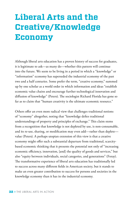### **Liberal Arts and the Creative/Knowledge Economy**

Although liberal arts education has a proven history of success for graduates, it is legitimate to ask—as many do—whether this pattern will continue into the future. We seem to be living in a period in which a "knowledge" or "information" economy has superseded the industrial economy of the past two and a half centuries. Some prefer the term, "creative economy," summed up by one scholar as a world order in which information and ideas "establish economic value chains and encourage further technological innovation and diffusion of knowledge" (Peters). The sociologist Richard Florida has gone so far as to claim that "human creativity is the ultimate economic resource."

Others offer an even more radical view that challenges traditional notions of "economy" altogether, noting that "knowledge defies traditional understandings of property and principles of exchange." This claim stems from a recognition that knowledge is not depleted by use, is non-consumable, and its re-use, sharing, or modification may even add—rather than deplete value (Peters). A perhaps utopian extension of this view is that a creative economy might offer such a substantial departure from traditional, scarcitybased economic thinking that it presents the potential not only of "increasing economic efficiency, innovation, [and] the quality of goods and services," but also "equity between individuals, social categories, and generations" (Foray). The transformative experience of liberal arts education has traditionally led to success across many different fields in American society, but it stands to make an even greater contribution to success for persons and societies in the knowledge economy than it has in the industrial economy.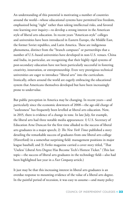An understanding of this potential is motivating a number of countries around the world—whose educational systems have permitted less freedom, emphasized being "right" rather than taking intellectual risks, and favored rote learning over inquiry—to develop a strong interest in the American style of liberal arts education. In recent years "American-style" colleges and universities have been introduced in Eastern Europe, the Middle East, the former Soviet republics, and Latin America. These are indigenous phenomena, distinct from the "branch campuses" or partnerships that a number of U.S.-based universities have developed in non-U.S. venues. China and India, in particular, are recognizing that their highly rigid systems of post-secondary education have not been particularly successful in fostering creativity, innovation, or entrepreneurship. Even very prestigious technical universities are eager to introduce "liberal arts" into the curriculum. Ironically, others around the world are eagerly embracing the educational system that Americans themselves developed but have been increasingly prone to undervalue.

But public perception in America may be changing. In recent years—and particularly since the economic downturn of 2008—the age-old charge of "uselessness" has frequently been levelled at liberal arts education. Now, in 2015, there is evidence of a change in tone. In late July, for example, the liberal arts had three notable media appearances: 1) U.S. Secretary of Education Arne Duncan for the first time alluded to the success of liberal arts graduates in a major speech; 2) *The New York Times* published a story detailing the remarkable success of graduates from one liberal arts college (Haverford) in a somewhat surprising field: management positions in major league baseball; and 3) *Forbes* magazine carried a cover story titled, "That 'Useless' Liberal Arts Degree Has Become Tech's Hottest Ticket." (This last topic—the success of liberal arts graduates in the technology field—also had been highlighted last year in a *Fast Company* article.)

It just may be that this increasing interest in liberal arts graduates is an overdue response to mounting evidence of the value of a liberal arts degree. In the painful period of recession, it was easy to assume—and many policy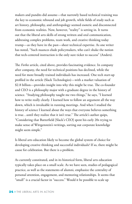makers and pundits did assume—that narrowly based technical training was the key to economic rebound and job growth, while fields of study such as art history, philosophy, and anthropology seemed esoteric and disconnected from economic realities. Now, however, "reality" is setting in. It turns out that the liberal arts skills of strong written and oral communication, addressing complex problems, team work, and creative thinking today trump—as they have in the past—sheer technical expertise. As one writer has noted, "Such nuances elude policymakers, who can't shake the notion that tech-centered instruction is the only sure ticket to success" (Anders).

The *Forbes* article, cited above, provides fascinating evidence. In company after company, the need for technical positions has declined, while the need for more broadly trained individuals has increased. One tech start-up profiled in the article (Slack Technologies)—with a market valuation of \$2.8 billion—provides insight into why this might be true. The co-founder and CEO is a philosophy major with a graduate degree in the history of science. "Studying philosophy taught me two things," he says, "I learned how to write really clearly. I learned how to follow an argument all the way down, which is invaluable in running meetings. And when I studied the history of science I learned about the ways that everyone believes something is true…until they realize that it isn't true." The article's author quips, "Considering that Butterfield [Slack's CEO] spent his early 20s trying to make sense of Wittgenstein's writings, sorting out corporate knowledge might seem simple."

Is liberal arts education likely to become the global system of choice for developing creative thinking and successful individuals? If so, there might be cause for celebration. But there is a problem.

As currently constituted, and in its historical form, liberal arts education typically takes place on a small scale. As we have seen, studies of pedagogical practice, as well as the statements of alumni, emphasize the centrality of personal attention, engagement, and mentoring relationships. It seems that "small" is a crucial factor in "success." Would it be possible to scale up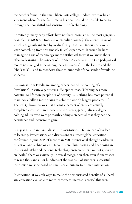the benefits found in the small liberal arts college? Indeed, we may be at a moment when, for the first time in history, it could be possible to do so, through the thoughtful and sensitive use of technology.

Admittedly, many early efforts have not been promising. The most egregious example was MOOCs (massive open online courses), the alleged value of which was grossly inflated by media frenzy in 2012. Undoubtedly we will learn something from this (mostly failed) experiment. It would be hard to imagine a use of technology more antithetical to what we know about effective learning. The concept of the MOOC was to utilize two pedagogical modes now gauged to be among the least successful—the lecture and the "chalk talk"—and to broadcast these to hundreds of thousands of would-be students.

Columnist Tom Friedman, among others, hailed the coming of a "revolution" in extravagant terms. He opined that, "Nothing has more potential to lift more people out of poverty…. Nothing has more potential to unlock a billion more brains to solve the world's biggest problems…" The reality, however, was that a scant 7 percent of enrollees actually completed a course—and those who did were typically already degreeholding adults, who were primarily adding a credential that they had the persistence and incentive to gain.

But, just as with individuals, so with institutions—failure can often lead to learning. Presentations and discussions at a recent global education conference in June 2015 of more than 500 international thought leaders in education and technology at Harvard were illuminating and heartening in this regard. While educational technology entrepreneurs have not given up on "scale," there was virtually universal recognition that, even if one wishes to reach thousands—or hundreds of thousands—of students, successful instruction must be based on small-scale, human-to-human interaction.

In education, if we seek ways to make the demonstrated benefits of a liberal arts education available to more learners, to increase "access," this turn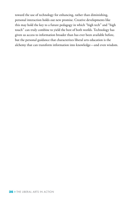toward the use of technology for enhancing, rather than diminishing, personal interaction holds out new promise. Creative developments like this may hold the key to a future pedagogy in which "high tech" and "high touch" can truly combine to yield the best of both worlds. Technology has given us access to information broader than has ever been available before, but the personal guidance that characterizes liberal arts education is the alchemy that can transform information into knowledge—and even wisdom.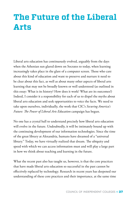#### **The Future of the Liberal Arts**

Liberal arts education has continuously evolved, arguably from the days when the Athenian sun glared down on Socrates to today, when learning increasingly takes place in the glare of a computer screen. Those who care about this kind of education and want to preserve and nurture it need to be clear about this fact, as well as about many other aspects of liberal arts learning that may not be broadly known or well understood (as outlined in this essay: What is its history? How does it work? What are its outcomes?) Indeed, I consider it a responsibility for each of us to dispel the myths about liberal arts education and seek opportunities to voice the facts. We need to take upon ourselves, individually, the work that CIC's *Securing America's Future: The Power of Liberal Arts Education* campaign has begun.

No one has a crystal ball to understand precisely how liberal arts education will evolve in the future. Undoubtedly, it will be intimately bound up with the continuing development of our information technologies. Since the time of the great library at Alexandria, humans have dreamed of a "universal library." Today, we have virtually realized that dream. The ubiquity and speed with which we can access information must and will play a large part in how we think about teaching and learning in the future.

What the recent past also has taught us, however, is that the core practices that have made liberal arts education so successful in the past cannot be effectively replaced by technology. Research in recent years has deepened our understanding of these core practices and their importance, at the same time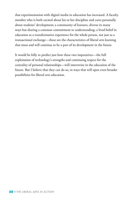that experimentation with digital media in education has increased. A faculty member who is both excited about his or her discipline and cares personally about students' development; a community of learners, diverse in many ways but sharing a common commitment to understanding; a lived belief in education as a transformative experience for the whole person, not just as a transactional exchange—these are the characteristics of liberal arts learning that must and will continue to be a part of its development in the future.

It would be folly to predict just how these two imperatives—the full exploitation of technology's strengths and continuing respect for the centrality of personal relationships—will intertwine in the education of the future. But I believe that they can do so, in ways that will open even broader possibilities for liberal arts education.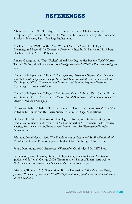#### REFERENCES

Albert, Robert S. 1990. "Identity, Experiences, and Career Choice among the Exceptionally Gifted and Eminent." In *Theories of Creativity*, edited by M. Runco and R. Albert. Newbury Park, CA: Sage Publications.

Amabile, Teresa. 1990. "Within You, Without You: The Social Psychology of Creativity, and Beyond." In *Theories of Creativity*, edited by M. Runco and R. Albert. Newbury Park, CA: Sage Publications.

Anders, George. 2015. "That 'Useless' Liberal Arts Degree Has Become Tech's Hottest Ticket." *Forbes*, July 29. *www.forbes.com/sites/georgeanders/2015/07/29/liberal-arts-degreetech*.

Council of Independent Colleges. 2015. *Expanding Access and Opportunity: How Small and Mid-Sized Independent Colleges Serve First-Generation and Low-Income Students*. Washington, DC: CIC. *www.cic.edu/Programs-and-Services/Programs/Documents/ ExpandingAccessReport-2015.pdf*.

Council of Independent Colleges. 2014. *Student Debt: Myths and Facts*, Second Edition. Washington, DC: CIC. *www.cic.edu/Research-and-Data/Research-Studies/Documents/ Student-Debt-Fact-Sheet.pdf*.

Csikszentmihalyi, Mihaly. 1990. "The Domain of Creativity." In *Theories of Creativity*, edited by M. Runco and R. Albert. Newbury Park, CA: Sage Publications.

De Lanerolle, Primal. Professor of Physiology, University of Illinois at Chicago, and graduate of Whitworth University (WA). Testimonial on CIC's Liberal Arts Resources website, 2014. *www.cic.edu/Research-and-Data/Liberal-Arts/Testimonials/Pages/de-Lanerolle.aspx*.

Feldman, David Henry. 1999. "The Development of Creativity." In *The Handbook of Creativity*, edited by R. Sternberg. Cambridge, MA: Cambridge University Press.

Foray, Dominique. 2004. *Economics of Knowledge*. Cambridge, MA: MIT Press.

Forman, Stephen J. Oncologist, City of Hope Comprehensive Cancer Center, and graduate of St. John's College (MD). Testimonial on Power of Liberal Arts website, 2014. *www.liberalartspower.org/lowdown/who/Pages/Forman.aspx*.

Friedman, Thomas. 2013. "Revolution Hits the Universities." *The New York Times*, January 26. *www.nytimes.com/2013/01/27/opinion/sunday/friedman-revolution-hits-theuniversities.html*.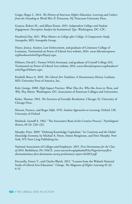Geiger, Roger L. 2014. *The History of American Higher Education: Learning and Culture from the Founding to World War II*. Princeton, NJ: Princeton University Press.

Gonyea, Robert M., and Jillian Kinzie. 2015. *Independent Colleges and Student Engagement: Descriptive Analysis by Institutional Type*. Washington, DC: CIC.

Hardwick Day. 2011. *What Matters in College after College: A Comparative Study*. Annapolis, MD: Annapolis Group.

Hayes, Jessica. Analyst, Law Enforcement, and graduate of Centenary College of Louisiana. Testimonial on Power of Liberal Arts website, 2014. *www.liberalartspower. org/lowdown/who/Pages/HayesJ.aspx*.

Hilmers, David C. Former NASA Astronaut, and graduate of Cornell College (IA). Testimonial on Power of Liberal Arts website, 2014. *www.liberalartspower.org/lowdown/ who/Pages/Hilmers.aspx*.

Kimball, Bruce A. 2010. *The Liberal Arts Tradition: A Documentary History*. Lanham, MD: University Press of America, Inc.

Kuh, George. 2008. *High Impact Practices: What They Are, Who Has Access to Them, and Why They Matter*. Washington, DC: Association of American Colleges and Universities.

Kuhn, Thomas. 1962. *The Structure of Scientific Revolutions*. Chicago, IL: University of Chicago Press.

Marton, Ference, and Roger Säljö. 1976. *Student Approaches to Learning*. Oxford, UK: University of Oxford.

Mednick, Sarnoff A. 1962. "The Associative Basis of the Creative Process." *Psychological Review*, 69 (3): 220–232.

Murphy, Peter. 2009. "Defining Knowledge Capitalism." In *Creativity and the Global Knowledge Economy*, by Michael A. Peters, Simon Marginson, and Peter Murphy. New York, NY: Peter Lang Publishing Inc.

National Association of Colleges and Employers. 2015. *First Destinations for the Class of 2014*. Bethlehem, PA: NACE. *www.naceweb.org/uploadedFiles/Pages/surveys/firstdestination/nace-first-destination-survey-preliminary-report-022015.pdf*.

Pascarella, Ernest T., and Charles Blaich. 2013. "Lessons from the Wabash National Study of Liberal Arts Education." *Change: The Magazine of Higher Learning* 45 (2): 6-15.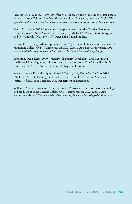Pennington, Bill. 2015. "Tiny Haverford College an Unlikely Pipeline to Major League Baseball's Front Offices." *The New York Times*, July 28. *www.nytimes.com/2015/07/29/ sports/baseball/a-thesis-could-be-written-on-haverford-colleges-influence-in-baseball.html*.

Peters, Michael A. 2009. "Academic Entrepreneurship and the Creative Economy." In *Creativity and the Global Knowledge Economy*, by Michael A. Peters, Simon Marginson, and Peter Murphy. New York, NY: Peter Lang Publishing Inc.

Savage, Peter. Foreign Affairs Specialist, U.S. Department of Defense, and graduate of Houghton College (NY). Testimonial on CIC's Liberal Arts Resources website, 2014. *www.cic.edu/Research-and-Data/Liberal-Arts/Testimonials/Pages/SavageP.aspx*.

Simonton, Dean Keith. 1990. "History, Chemistry, Psychology, and Genius: An Intellectual Autobiography of Historiometry." In *Theories of Creativity*, edited by M. Runco and R. Albert. Newbury Park, CA: Sage Publications.

Snyder, Thomas D., and Sally A. Dillow. 2015. *Digest of Education Statistics 2013* (NCES 2015-011). Washington, DC: National Center for Education Statistics, Institute of Education Sciences, U.S. Department of Education.

Williams, Michael. Assistant Professor Physics, Massachusetts Institute of Technology, and graduate of Saint Vincent College (PA). Testimonial on CIC's Liberal Arts Resources website, 2014. *www.liberalartspower.org/lowdown/who/Pages/Williams.aspx.*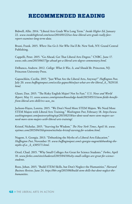#### RECOMMENDED READING

Bidwell, Allie. 2014. "Liberal Arts Grads Win Long Term." *Inside Higher Ed*, January 22. *www.insidehighered.com/news/2014/01/22/see-how-liberal-arts-grads-really-farereport-examines-long-term-data.*

Bruni, Frank. 2015. *Where You Go Is Not Who You'll Be*. New York, NY: Grand Central Publishing.

Cappelli, Peter. 2015. "Go Ahead, Get That Liberal Arts Degree." CNBC, June 17. *www.cnbc.com/2015/06/17/go-ahead-get-a-liberal-arts-degree-commentary.html.*

Delbanco, Andrew. 2012. *College: What It Was, Is, and Should Be*. Princeton, NJ: Princeton University Press.

Gaposchkin, Cecilia. 2015. "Just What Are the Liberal Arts, Anyway?" *Huffington Post*, July 20. *www.huffingtonpost.com/cecilia-gaposchkin/just-what-are-the-liberal\_b\_7829118. html*.

Glaser, Dan. 2015. "The Risky English Major? Not So Fast." *U.S. News and World Report*, May 11. *www.usnews.com/opinion/knowledge-bank/2015/05/11/stem-fields-benefitfrom-liberal-arts-skills?src=usn\_tw*.

Jackson-Hayes, Loretta. 2015. "We Don't Need More STEM Majors. We Need More STEM Majors with Liberal Arts Training." *Washington Post*, February 18. *https://www. washingtonpost.com/posteverything/wp/2015/02/18/we-dont-need-more-stem-majors-weneed-more-stem-majors-with-liberal-arts-training/*.

Kristof, Nicholas. 2015. "Starving for Wisdom." *The New York Times*, April 16. *www. nytimes.com/2015/04/16/opinion/nicholas-kristof-starving-for-wisdom.html*.

Nugent, S. Georgia. 2013. "Debunking the Myths of a Liberal Arts Education." *Huffington Post*, November 19. *www.huffingtonpost.com/s-georgia-nugent/debunking-themyths-of-a-\_b\_4305171.html*.

Orzel, Chad. 2015. "Why Small Colleges Are Great for Science Students." *Forbes*, April 10. *www.forbes.com/sites/chadorzel/2015/04/10/why-small-colleges-are-great-for-sciencestudents*.

Roos, Johan. 2015. "Build STEM Skills, but Don't Neglect the Humanities." *Harvard Business Review*, June 24. *https://hbr.org/2015/06/build-stem-skills-but-dont-neglect-thehumanities*.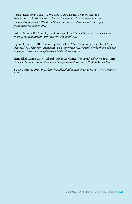Ruscio, Kenneth P. 2012. "Why a Liberal Arts Education Is the Best Job Preparation." *Christian Science Monitor*, September 19. *www.csmonitor.com/ Commentary/Opinion/2012/0919/Why-a-liberal-arts-education-is-the-best-jobpreparation/%28page%29/2*.

Sadove, Steve. 2014. "Employees Who Stand Out." *Forbes*, September 5. *www.forbes. com/sites/realspin/2014/09/05/employees-who-stand-out*.

Segran, Elizabeth. 2014. "Why Top Tech CEOs Want Employees with Liberal Arts Degrees." *Fast Company*, August 28. *www.fastcompany.com/3034947/the-future-of-work/ why-top-tech-ceos-want-employees-with-liberal-arts-degrees*.

Stern Elkes, Lynne. 2015. "Liberal Arts Teach Critical Thought." *Baltimore Sun*, April 13. *www.baltimoresun.com/news/opinion/oped/bs-ed-liberal-arts-20150413-story.html*.

Zakaria, Fareed. 2015. *In Defense of a Liberal Education*. New York, NY: W.W. Norton & Co., Inc.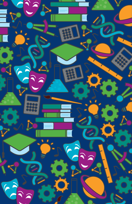